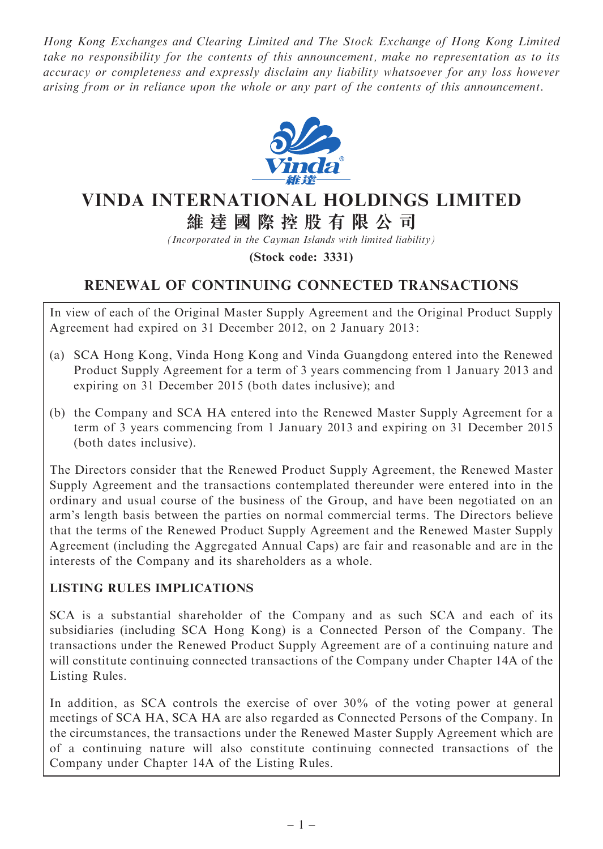Hong Kong Exchanges and Clearing Limited and The Stock Exchange of Hong Kong Limited take no responsibility for the contents of this announcement, make no representation as to its accuracy or completeness and expressly disclaim any liability whatsoever for any loss however arising from or in reliance upon the whole or any part of the contents of this announcement.



# VINDA INTERNATIONAL HOLDINGS LIMITED 維 達 國 際 控 股 有 限 公 司

(Incorporated in the Cayman Islands with limited liability)

(Stock code: 3331)

# RENEWAL OF CONTINUING CONNECTED TRANSACTIONS

In view of each of the Original Master Supply Agreement and the Original Product Supply Agreement had expired on 31 December 2012, on 2 January 2013:

- (a) SCA Hong Kong, Vinda Hong Kong and Vinda Guangdong entered into the Renewed Product Supply Agreement for a term of 3 years commencing from 1 January 2013 and expiring on 31 December 2015 (both dates inclusive); and
- (b) the Company and SCA HA entered into the Renewed Master Supply Agreement for a term of 3 years commencing from 1 January 2013 and expiring on 31 December 2015 (both dates inclusive).

The Directors consider that the Renewed Product Supply Agreement, the Renewed Master Supply Agreement and the transactions contemplated thereunder were entered into in the ordinary and usual course of the business of the Group, and have been negotiated on an arm's length basis between the parties on normal commercial terms. The Directors believe that the terms of the Renewed Product Supply Agreement and the Renewed Master Supply Agreement (including the Aggregated Annual Caps) are fair and reasonable and are in the interests of the Company and its shareholders as a whole.

#### LISTING RULES IMPLICATIONS

SCA is a substantial shareholder of the Company and as such SCA and each of its subsidiaries (including SCA Hong Kong) is a Connected Person of the Company. The transactions under the Renewed Product Supply Agreement are of a continuing nature and will constitute continuing connected transactions of the Company under Chapter 14A of the Listing Rules.

In addition, as SCA controls the exercise of over 30% of the voting power at general meetings of SCA HA, SCA HA are also regarded as Connected Persons of the Company. In the circumstances, the transactions under the Renewed Master Supply Agreement which are of a continuing nature will also constitute continuing connected transactions of the Company under Chapter 14A of the Listing Rules.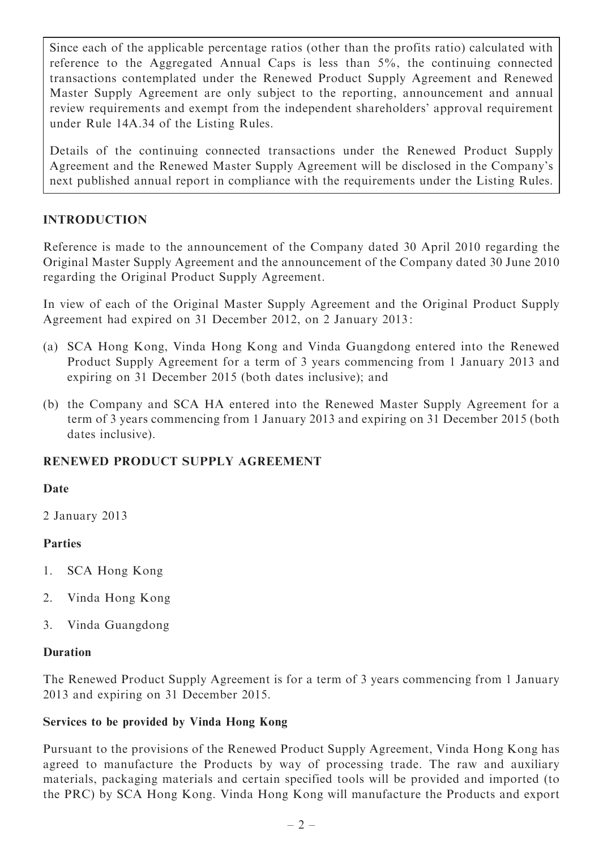Since each of the applicable percentage ratios (other than the profits ratio) calculated with reference to the Aggregated Annual Caps is less than 5%, the continuing connected transactions contemplated under the Renewed Product Supply Agreement and Renewed Master Supply Agreement are only subject to the reporting, announcement and annual review requirements and exempt from the independent shareholders' approval requirement under Rule 14A.34 of the Listing Rules.

Details of the continuing connected transactions under the Renewed Product Supply Agreement and the Renewed Master Supply Agreement will be disclosed in the Company's next published annual report in compliance with the requirements under the Listing Rules.

### INTRODUCTION

Reference is made to the announcement of the Company dated 30 April 2010 regarding the Original Master Supply Agreement and the announcement of the Company dated 30 June 2010 regarding the Original Product Supply Agreement.

In view of each of the Original Master Supply Agreement and the Original Product Supply Agreement had expired on 31 December 2012, on 2 January 2013:

- (a) SCA Hong Kong, Vinda Hong Kong and Vinda Guangdong entered into the Renewed Product Supply Agreement for a term of 3 years commencing from 1 January 2013 and expiring on 31 December 2015 (both dates inclusive); and
- (b) the Company and SCA HA entered into the Renewed Master Supply Agreement for a term of 3 years commencing from 1 January 2013 and expiring on 31 December 2015 (both dates inclusive).

#### RENEWED PRODUCT SUPPLY AGREEMENT

#### Date

2 January 2013

#### Parties

- 1. SCA Hong Kong
- 2. Vinda Hong Kong
- 3. Vinda Guangdong

#### Duration

The Renewed Product Supply Agreement is for a term of 3 years commencing from 1 January 2013 and expiring on 31 December 2015.

#### Services to be provided by Vinda Hong Kong

Pursuant to the provisions of the Renewed Product Supply Agreement, Vinda Hong Kong has agreed to manufacture the Products by way of processing trade. The raw and auxiliary materials, packaging materials and certain specified tools will be provided and imported (to the PRC) by SCA Hong Kong. Vinda Hong Kong will manufacture the Products and export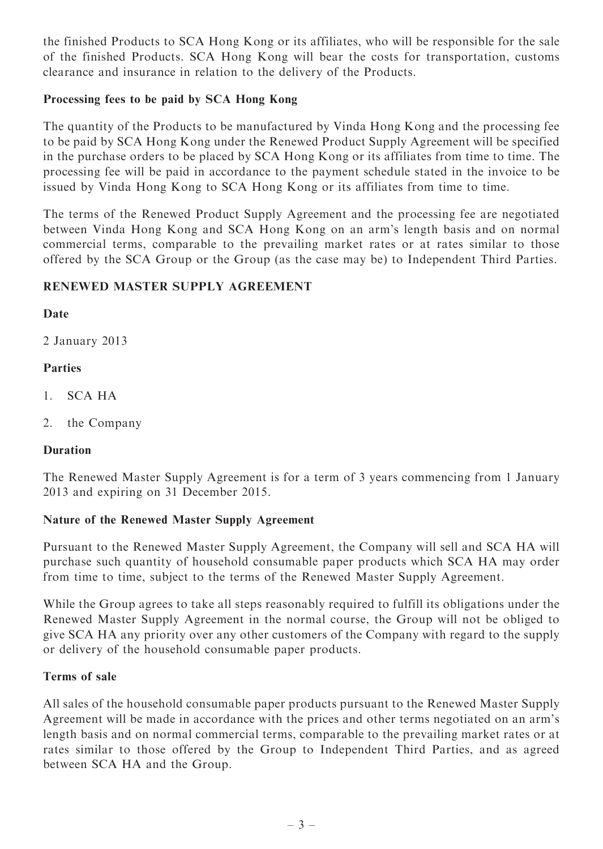the finished Products to SCA Hong Kong or its affiliates, who will be responsible for the sale of the finished Products. SCA Hong Kong will bear the costs for transportation, customs clearance and insurance in relation to the delivery of the Products.

#### Processing fees to be paid by SCA Hong Kong

The quantity of the Products to be manufactured by Vinda Hong Kong and the processing fee to be paid by SCA Hong Kong under the Renewed Product Supply Agreement will be specified in the purchase orders to be placed by SCA Hong Kong or its affiliates from time to time. The processing fee will be paid in accordance to the payment schedule stated in the invoice to be issued by Vinda Hong Kong to SCA Hong Kong or its affiliates from time to time.

The terms of the Renewed Product Supply Agreement and the processing fee are negotiated between Vinda Hong Kong and SCA Hong Kong on an arm's length basis and on normal commercial terms, comparable to the prevailing market rates or at rates similar to those offered by the SCA Group or the Group (as the case may be) to Independent Third Parties.

### RENEWED MASTER SUPPLY AGREEMENT

#### Date

2 January 2013

### Parties

- 1. SCA HA
- 2. the Company

#### Duration

The Renewed Master Supply Agreement is for a term of 3 years commencing from 1 January 2013 and expiring on 31 December 2015.

#### Nature of the Renewed Master Supply Agreement

Pursuant to the Renewed Master Supply Agreement, the Company will sell and SCA HA will purchase such quantity of household consumable paper products which SCA HA may order from time to time, subject to the terms of the Renewed Master Supply Agreement.

While the Group agrees to take all steps reasonably required to fulfill its obligations under the Renewed Master Supply Agreement in the normal course, the Group will not be obliged to give SCA HA any priority over any other customers of the Company with regard to the supply or delivery of the household consumable paper products.

#### Terms of sale

All sales of the household consumable paper products pursuant to the Renewed Master Supply Agreement will be made in accordance with the prices and other terms negotiated on an arm's length basis and on normal commercial terms, comparable to the prevailing market rates or at rates similar to those offered by the Group to Independent Third Parties, and as agreed between SCA HA and the Group.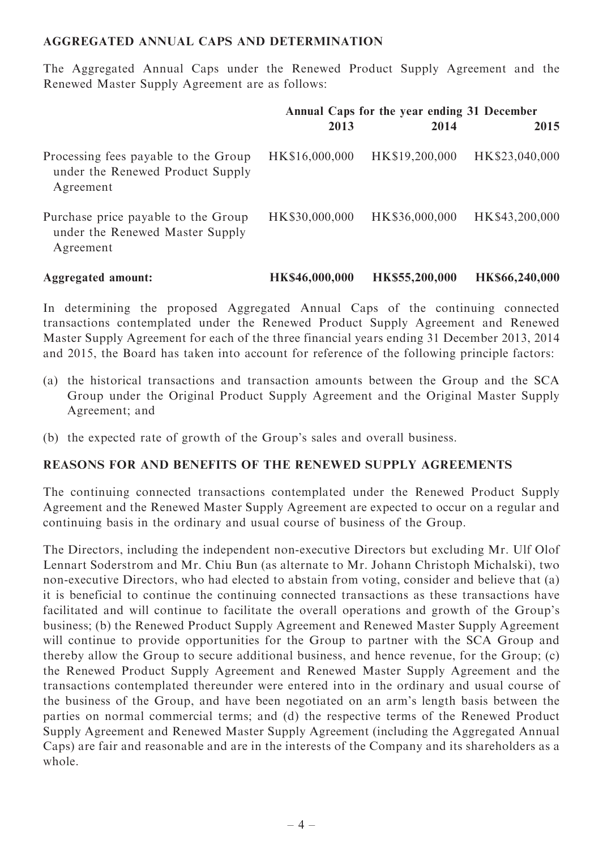#### AGGREGATED ANNUAL CAPS AND DETERMINATION

The Aggregated Annual Caps under the Renewed Product Supply Agreement and the Renewed Master Supply Agreement are as follows:

|                                                                                       | Annual Caps for the year ending 31 December |                |                |
|---------------------------------------------------------------------------------------|---------------------------------------------|----------------|----------------|
|                                                                                       | 2013                                        | 2014           | 2015           |
| Processing fees payable to the Group<br>under the Renewed Product Supply<br>Agreement | HK\$16,000,000                              | HK\$19,200,000 | HK\$23,040,000 |
| Purchase price payable to the Group<br>under the Renewed Master Supply<br>Agreement   | HK\$30,000,000                              | HK\$36,000,000 | HK\$43,200,000 |

Aggregated amount: HK\$46,000,000 HK\$55,200,000 HK\$66,240,000

In determining the proposed Aggregated Annual Caps of the continuing connected transactions contemplated under the Renewed Product Supply Agreement and Renewed Master Supply Agreement for each of the three financial years ending 31 December 2013, 2014 and 2015, the Board has taken into account for reference of the following principle factors:

- (a) the historical transactions and transaction amounts between the Group and the SCA Group under the Original Product Supply Agreement and the Original Master Supply Agreement; and
- (b) the expected rate of growth of the Group's sales and overall business.

#### REASONS FOR AND BENEFITS OF THE RENEWED SUPPLY AGREEMENTS

The continuing connected transactions contemplated under the Renewed Product Supply Agreement and the Renewed Master Supply Agreement are expected to occur on a regular and continuing basis in the ordinary and usual course of business of the Group.

The Directors, including the independent non-executive Directors but excluding Mr. Ulf Olof Lennart Soderstrom and Mr. Chiu Bun (as alternate to Mr. Johann Christoph Michalski), two non-executive Directors, who had elected to abstain from voting, consider and believe that (a) it is beneficial to continue the continuing connected transactions as these transactions have facilitated and will continue to facilitate the overall operations and growth of the Group's business; (b) the Renewed Product Supply Agreement and Renewed Master Supply Agreement will continue to provide opportunities for the Group to partner with the SCA Group and thereby allow the Group to secure additional business, and hence revenue, for the Group; (c) the Renewed Product Supply Agreement and Renewed Master Supply Agreement and the transactions contemplated thereunder were entered into in the ordinary and usual course of the business of the Group, and have been negotiated on an arm's length basis between the parties on normal commercial terms; and (d) the respective terms of the Renewed Product Supply Agreement and Renewed Master Supply Agreement (including the Aggregated Annual Caps) are fair and reasonable and are in the interests of the Company and its shareholders as a whole.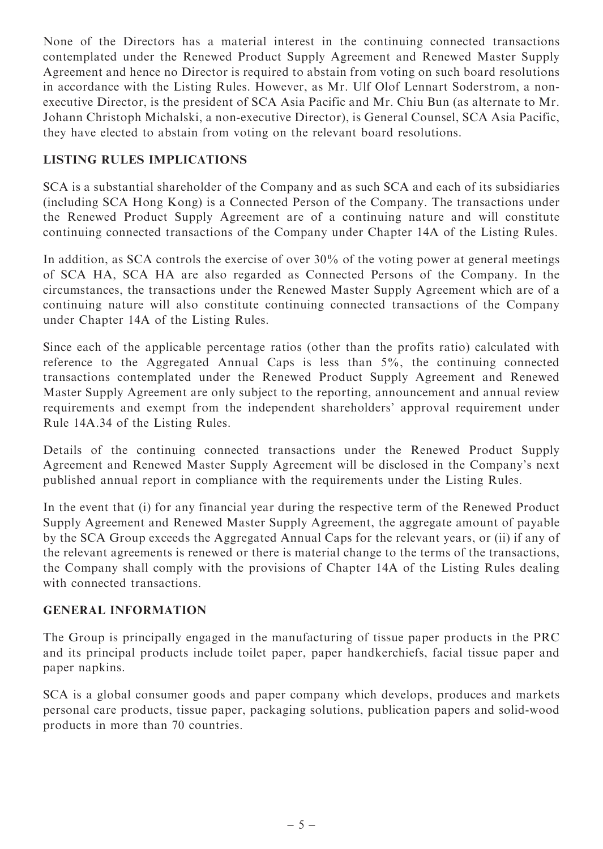None of the Directors has a material interest in the continuing connected transactions contemplated under the Renewed Product Supply Agreement and Renewed Master Supply Agreement and hence no Director is required to abstain from voting on such board resolutions in accordance with the Listing Rules. However, as Mr. Ulf Olof Lennart Soderstrom, a nonexecutive Director, is the president of SCA Asia Pacific and Mr. Chiu Bun (as alternate to Mr. Johann Christoph Michalski, a non-executive Director), is General Counsel, SCA Asia Pacific, they have elected to abstain from voting on the relevant board resolutions.

#### LISTING RULES IMPLICATIONS

SCA is a substantial shareholder of the Company and as such SCA and each of its subsidiaries (including SCA Hong Kong) is a Connected Person of the Company. The transactions under the Renewed Product Supply Agreement are of a continuing nature and will constitute continuing connected transactions of the Company under Chapter 14A of the Listing Rules.

In addition, as SCA controls the exercise of over 30% of the voting power at general meetings of SCA HA, SCA HA are also regarded as Connected Persons of the Company. In the circumstances, the transactions under the Renewed Master Supply Agreement which are of a continuing nature will also constitute continuing connected transactions of the Company under Chapter 14A of the Listing Rules.

Since each of the applicable percentage ratios (other than the profits ratio) calculated with reference to the Aggregated Annual Caps is less than 5%, the continuing connected transactions contemplated under the Renewed Product Supply Agreement and Renewed Master Supply Agreement are only subject to the reporting, announcement and annual review requirements and exempt from the independent shareholders' approval requirement under Rule 14A.34 of the Listing Rules.

Details of the continuing connected transactions under the Renewed Product Supply Agreement and Renewed Master Supply Agreement will be disclosed in the Company's next published annual report in compliance with the requirements under the Listing Rules.

In the event that (i) for any financial year during the respective term of the Renewed Product Supply Agreement and Renewed Master Supply Agreement, the aggregate amount of payable by the SCA Group exceeds the Aggregated Annual Caps for the relevant years, or (ii) if any of the relevant agreements is renewed or there is material change to the terms of the transactions, the Company shall comply with the provisions of Chapter 14A of the Listing Rules dealing with connected transactions.

#### GENERAL INFORMATION

The Group is principally engaged in the manufacturing of tissue paper products in the PRC and its principal products include toilet paper, paper handkerchiefs, facial tissue paper and paper napkins.

SCA is a global consumer goods and paper company which develops, produces and markets personal care products, tissue paper, packaging solutions, publication papers and solid-wood products in more than 70 countries.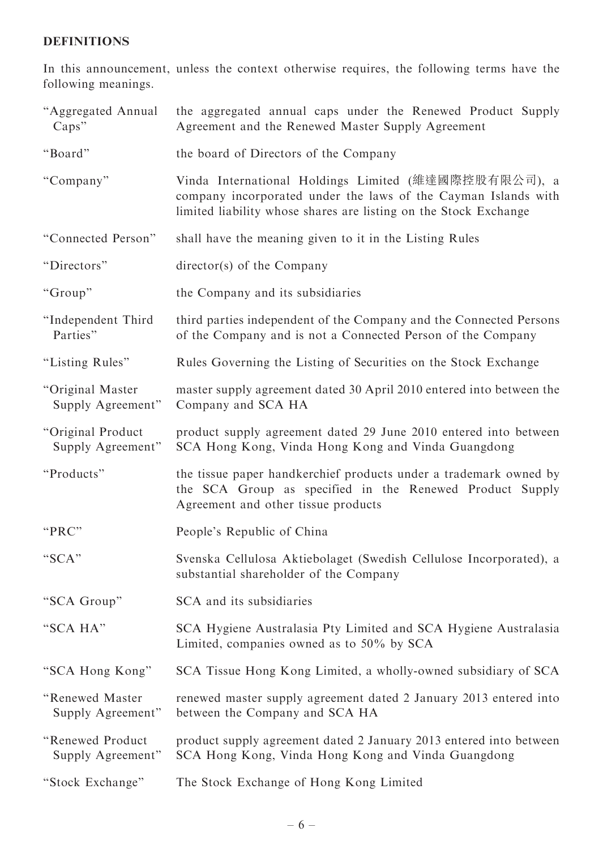## DEFINITIONS

In this announcement, unless the context otherwise requires, the following terms have the following meanings.

| "Aggregated Annual<br>Caps"            | the aggregated annual caps under the Renewed Product Supply<br>Agreement and the Renewed Master Supply Agreement                                                                           |
|----------------------------------------|--------------------------------------------------------------------------------------------------------------------------------------------------------------------------------------------|
| "Board"                                | the board of Directors of the Company                                                                                                                                                      |
| "Company"                              | Vinda International Holdings Limited (維達國際控股有限公司), a<br>company incorporated under the laws of the Cayman Islands with<br>limited liability whose shares are listing on the Stock Exchange |
| "Connected Person"                     | shall have the meaning given to it in the Listing Rules                                                                                                                                    |
| "Directors"                            | director(s) of the Company                                                                                                                                                                 |
| "Group"                                | the Company and its subsidiaries                                                                                                                                                           |
| "Independent Third<br>Parties"         | third parties independent of the Company and the Connected Persons<br>of the Company and is not a Connected Person of the Company                                                          |
| "Listing Rules"                        | Rules Governing the Listing of Securities on the Stock Exchange                                                                                                                            |
| "Original Master<br>Supply Agreement"  | master supply agreement dated 30 April 2010 entered into between the<br>Company and SCA HA                                                                                                 |
| "Original Product<br>Supply Agreement" | product supply agreement dated 29 June 2010 entered into between<br>SCA Hong Kong, Vinda Hong Kong and Vinda Guangdong                                                                     |
| "Products"                             | the tissue paper handkerchief products under a trademark owned by<br>the SCA Group as specified in the Renewed Product Supply<br>Agreement and other tissue products                       |
| "PRC"                                  | People's Republic of China                                                                                                                                                                 |
| "SCA"                                  | Svenska Cellulosa Aktiebolaget (Swedish Cellulose Incorporated), a<br>substantial shareholder of the Company                                                                               |
| "SCA Group"                            | SCA and its subsidiaries                                                                                                                                                                   |
| "SCA HA"                               | SCA Hygiene Australasia Pty Limited and SCA Hygiene Australasia<br>Limited, companies owned as to 50% by SCA                                                                               |
| "SCA Hong Kong"                        | SCA Tissue Hong Kong Limited, a wholly-owned subsidiary of SCA                                                                                                                             |
| "Renewed Master<br>Supply Agreement"   | renewed master supply agreement dated 2 January 2013 entered into<br>between the Company and SCA HA                                                                                        |
| "Renewed Product<br>Supply Agreement"  | product supply agreement dated 2 January 2013 entered into between<br>SCA Hong Kong, Vinda Hong Kong and Vinda Guangdong                                                                   |
| "Stock Exchange"                       | The Stock Exchange of Hong Kong Limited                                                                                                                                                    |